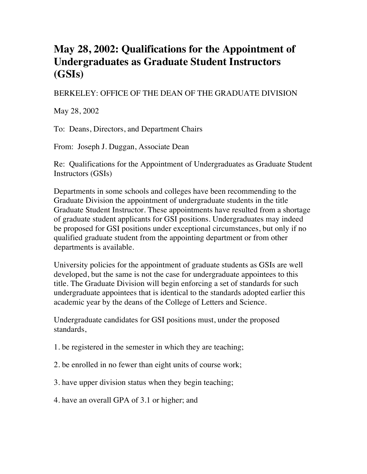## **May 28, 2002: Qualifications for the Appointment of Undergraduates as Graduate Student Instructors (GSIs)**

## BERKELEY: OFFICE OF THE DEAN OF THE GRADUATE DIVISION

May 28, 2002

To: Deans, Directors, and Department Chairs

From: Joseph J. Duggan, Associate Dean

Re: Qualifications for the Appointment of Undergraduates as Graduate Student Instructors (GSIs)

Departments in some schools and colleges have been recommending to the Graduate Division the appointment of undergraduate students in the title Graduate Student Instructor. These appointments have resulted from a shortage of graduate student applicants for GSI positions. Undergraduates may indeed be proposed for GSI positions under exceptional circumstances, but only if no qualified graduate student from the appointing department or from other departments is available.

University policies for the appointment of graduate students as GSIs are well developed, but the same is not the case for undergraduate appointees to this title. The Graduate Division will begin enforcing a set of standards for such undergraduate appointees that is identical to the standards adopted earlier this academic year by the deans of the College of Letters and Science.

Undergraduate candidates for GSI positions must, under the proposed standards,

- 1. be registered in the semester in which they are teaching;
- 2. be enrolled in no fewer than eight units of course work;
- 3. have upper division status when they begin teaching;
- 4. have an overall GPA of 3.1 or higher; and